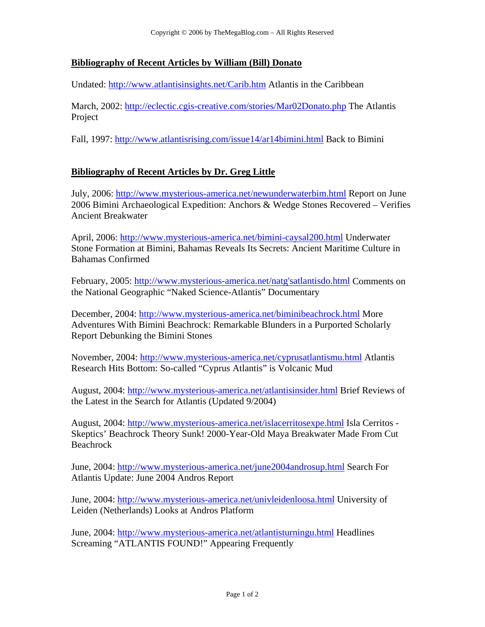## **Bibliography of Recent Articles by William (Bill) Donato**

Undated: http://www.atlantisinsights.net/Carib.htm Atlantis in the Caribbean

March, 2002: http://eclectic.cgis-creative.com/stories/Mar02Donato.php The Atlantis Project

Fall, 1997: http://www.atlantisrising.com/issue14/ar14bimini.html Back to Bimini

## **Bibliography of Recent Articles by Dr. Greg Little**

July, 2006: http://www.mysterious-america.net/newunderwaterbim.html Report on June 2006 Bimini Archaeological Expedition: Anchors & Wedge Stones Recovered – Verifies Ancient Breakwater

April, 2006: http://www.mysterious-america.net/bimini-caysal200.html Underwater Stone Formation at Bimini, Bahamas Reveals Its Secrets: Ancient Maritime Culture in Bahamas Confirmed

February, 2005: http://www.mysterious-america.net/natg'satlantisdo.html Comments on the National Geographic "Naked Science-Atlantis" Documentary

December, 2004: http://www.mysterious-america.net/biminibeachrock.html More Adventures With Bimini Beachrock: Remarkable Blunders in a Purported Scholarly Report Debunking the Bimini Stones

November, 2004: http://www.mysterious-america.net/cyprusatlantismu.html Atlantis Research Hits Bottom: So-called "Cyprus Atlantis" is Volcanic Mud

August, 2004: http://www.mysterious-america.net/atlantisinsider.html Brief Reviews of the Latest in the Search for Atlantis (Updated 9/2004)

August, 2004: http://www.mysterious-america.net/islacerritosexpe.html Isla Cerritos - Skeptics' Beachrock Theory Sunk! 2000-Year-Old Maya Breakwater Made From Cut Beachrock

June, 2004: http://www.mysterious-america.net/june2004androsup.html Search For Atlantis Update: June 2004 Andros Report

June, 2004: http://www.mysterious-america.net/univleidenloosa.html University of Leiden (Netherlands) Looks at Andros Platform

June, 2004: http://www.mysterious-america.net/atlantisturningu.html Headlines Screaming "ATLANTIS FOUND!" Appearing Frequently